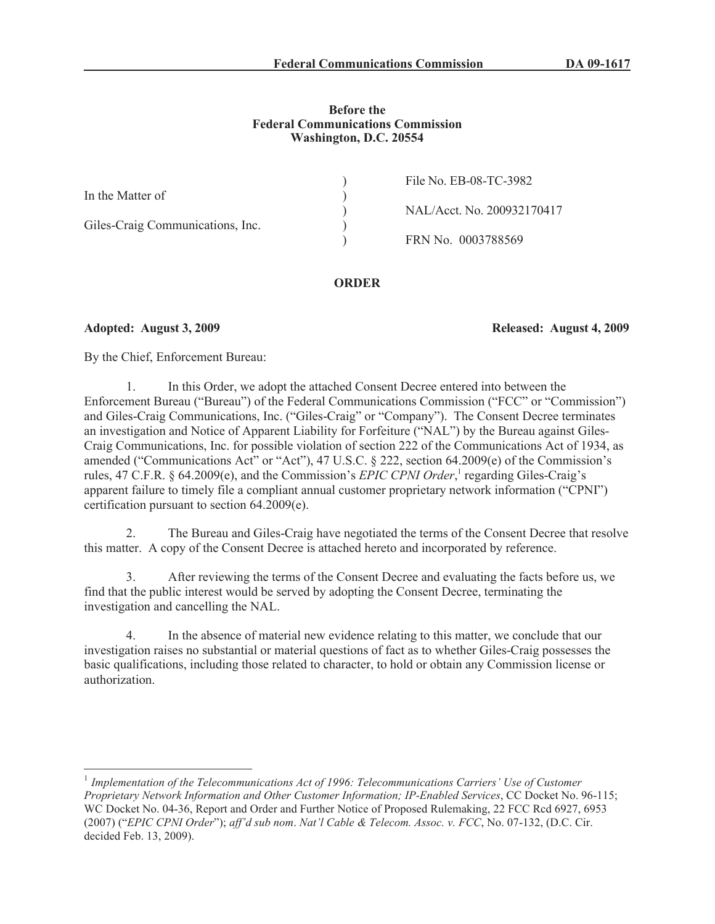### **Before the Federal Communications Commission Washington, D.C. 20554**

|                                  | File No. EB-08-TC-3982     |
|----------------------------------|----------------------------|
| In the Matter of                 |                            |
|                                  | NAL/Acct. No. 200932170417 |
| Giles-Craig Communications, Inc. |                            |
|                                  | FRN No. 0003788569         |
|                                  |                            |

**ORDER**

**Adopted: August 3, 2009 Released: August 4, 2009**

By the Chief, Enforcement Bureau:

1. In this Order, we adopt the attached Consent Decree entered into between the Enforcement Bureau ("Bureau") of the Federal Communications Commission ("FCC" or "Commission") and Giles-Craig Communications, Inc. ("Giles-Craig" or "Company"). The Consent Decree terminates an investigation and Notice of Apparent Liability for Forfeiture ("NAL") by the Bureau against Giles-Craig Communications, Inc. for possible violation of section 222 of the Communications Act of 1934, as amended ("Communications Act" or "Act"), 47 U.S.C. § 222, section 64.2009(e) of the Commission's rules, 47 C.F.R. § 64.2009(e), and the Commission's *EPIC CPNI Order*,<sup>1</sup> regarding Giles-Craig's apparent failure to timely file a compliant annual customer proprietary network information ("CPNI") certification pursuant to section 64.2009(e).

2. The Bureau and Giles-Craig have negotiated the terms of the Consent Decree that resolve this matter. A copy of the Consent Decree is attached hereto and incorporated by reference.

3. After reviewing the terms of the Consent Decree and evaluating the facts before us, we find that the public interest would be served by adopting the Consent Decree, terminating the investigation and cancelling the NAL.

4. In the absence of material new evidence relating to this matter, we conclude that our investigation raises no substantial or material questions of fact as to whether Giles-Craig possesses the basic qualifications, including those related to character, to hold or obtain any Commission license or authorization.

<sup>&</sup>lt;sup>1</sup> Implementation of the Telecommunications Act of 1996: Telecommunications Carriers' Use of Customer *Proprietary Network Information and Other Customer Information; IP-Enabled Services*, CC Docket No. 96-115; WC Docket No. 04-36, Report and Order and Further Notice of Proposed Rulemaking, 22 FCC Rcd 6927, 6953 (2007) ("*EPIC CPNI Order*"); *aff'd sub nom*. *Nat'l Cable & Telecom. Assoc. v. FCC*, No. 07-132, (D.C. Cir. decided Feb. 13, 2009).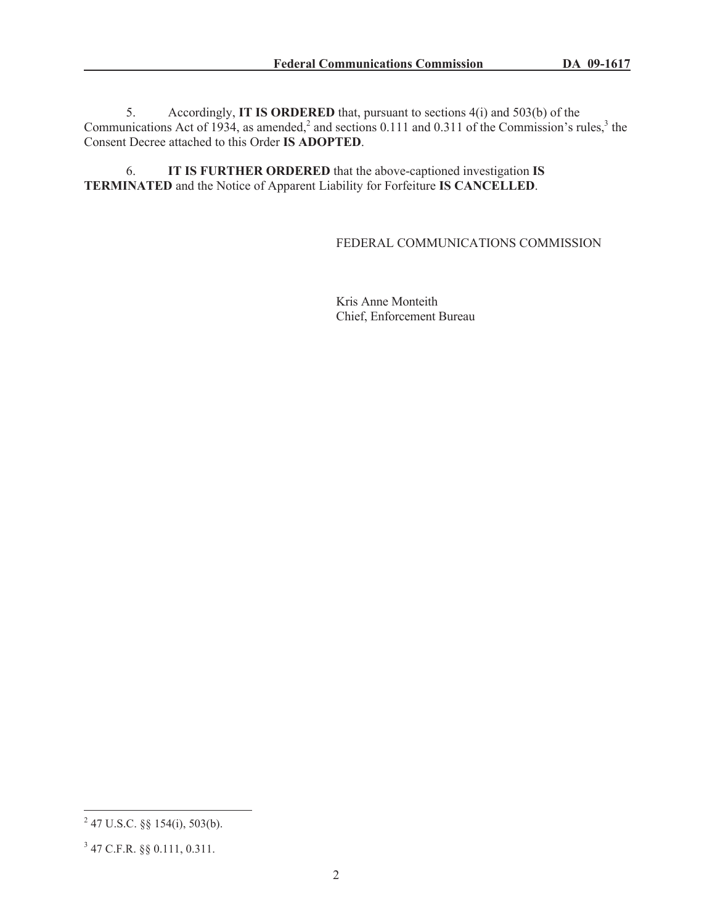5. Accordingly, **IT IS ORDERED** that, pursuant to sections 4(i) and 503(b) of the Communications Act of 1934, as amended,<sup>2</sup> and sections 0.111 and 0.311 of the Commission's rules,<sup>3</sup> the Consent Decree attached to this Order **IS ADOPTED**.

6. **IT IS FURTHER ORDERED** that the above-captioned investigation **IS TERMINATED** and the Notice of Apparent Liability for Forfeiture **IS CANCELLED**.

# FEDERAL COMMUNICATIONS COMMISSION

Kris Anne Monteith Chief, Enforcement Bureau

 $2^{2}$  47 U.S.C. §§ 154(i), 503(b).

<sup>3</sup> 47 C.F.R. §§ 0.111, 0.311.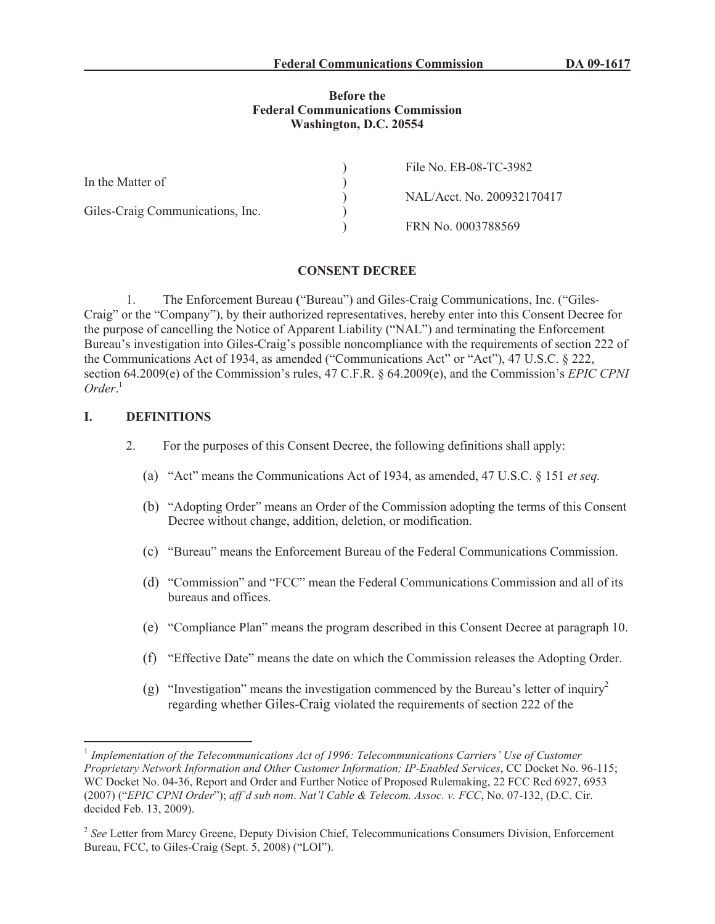#### **Before the Federal Communications Commission Washington, D.C. 20554**

|                                  | File No. EB-08-TC-3982     |
|----------------------------------|----------------------------|
| In the Matter of                 |                            |
|                                  | NAL/Acct. No. 200932170417 |
| Giles-Craig Communications, Inc. |                            |
|                                  | FRN No. 0003788569         |

#### **CONSENT DECREE**

1. The Enforcement Bureau **(**"Bureau") and Giles-Craig Communications, Inc. ("Giles-Craig" or the "Company"), by their authorized representatives, hereby enter into this Consent Decree for the purpose of cancelling the Notice of Apparent Liability ("NAL") and terminating the Enforcement Bureau's investigation into Giles-Craig's possible noncompliance with the requirements of section 222 of the Communications Act of 1934, as amended ("Communications Act" or "Act"), 47 U.S.C. § 222, section 64.2009(e) of the Commission's rules, 47 C.F.R. § 64.2009(e), and the Commission's *EPIC CPNI Order*. 1

### **I. DEFINITIONS**

- 2. For the purposes of this Consent Decree, the following definitions shall apply:
	- (a) "Act" means the Communications Act of 1934, as amended, 47 U.S.C. § 151 *et seq.*
	- (b) "Adopting Order" means an Order of the Commission adopting the terms of this Consent Decree without change, addition, deletion, or modification.
	- (c) "Bureau" means the Enforcement Bureau of the Federal Communications Commission.
	- (d) "Commission" and "FCC" mean the Federal Communications Commission and all of its bureaus and offices.
	- (e) "Compliance Plan" means the program described in this Consent Decree at paragraph 10.
	- (f) "Effective Date" means the date on which the Commission releases the Adopting Order.
	- (g) "Investigation" means the investigation commenced by the Bureau's letter of inquiry<sup>2</sup> regarding whether Giles-Craig violated the requirements of section 222 of the

<sup>&</sup>lt;sup>1</sup> Implementation of the Telecommunications Act of 1996: Telecommunications Carriers' Use of Customer *Proprietary Network Information and Other Customer Information; IP-Enabled Services*, CC Docket No. 96-115; WC Docket No. 04-36, Report and Order and Further Notice of Proposed Rulemaking, 22 FCC Rcd 6927, 6953 (2007) ("*EPIC CPNI Order*"); *aff'd sub nom*. *Nat'l Cable & Telecom. Assoc. v. FCC*, No. 07-132, (D.C. Cir. decided Feb. 13, 2009).

<sup>&</sup>lt;sup>2</sup> See Letter from Marcy Greene, Deputy Division Chief, Telecommunications Consumers Division, Enforcement Bureau, FCC, to Giles-Craig (Sept. 5, 2008) ("LOI").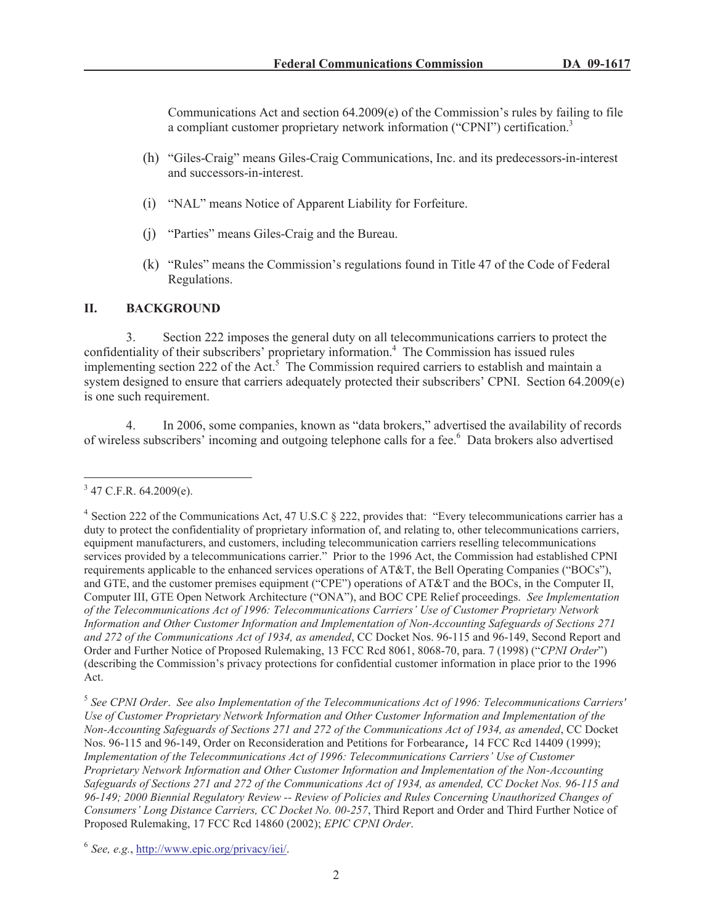Communications Act and section  $64.2009(e)$  of the Commission's rules by failing to file a compliant customer proprietary network information ("CPNI") certification.<sup>3</sup>

- (h) "Giles-Craig" means Giles-Craig Communications, Inc. and its predecessors-in-interest and successors-in-interest.
- (i) "NAL" means Notice of Apparent Liability for Forfeiture.
- (j) "Parties" means Giles-Craig and the Bureau.
- (k) "Rules" means the Commission's regulations found in Title 47 of the Code of Federal Regulations.

# **II. BACKGROUND**

3. Section 222 imposes the general duty on all telecommunications carriers to protect the confidentiality of their subscribers' proprietary information.<sup>4</sup> The Commission has issued rules implementing section 222 of the Act.<sup>5</sup> The Commission required carriers to establish and maintain a system designed to ensure that carriers adequately protected their subscribers' CPNI. Section 64.2009(e) is one such requirement.

4. In 2006, some companies, known as "data brokers," advertised the availability of records of wireless subscribers' incoming and outgoing telephone calls for a fee.<sup>6</sup> Data brokers also advertised

 $3$  47 C.F.R. 64.2009(e).

<sup>&</sup>lt;sup>4</sup> Section 222 of the Communications Act, 47 U.S.C § 222, provides that: "Every telecommunications carrier has a duty to protect the confidentiality of proprietary information of, and relating to, other telecommunications carriers, equipment manufacturers, and customers, including telecommunication carriers reselling telecommunications services provided by a telecommunications carrier." Prior to the 1996 Act, the Commission had established CPNI requirements applicable to the enhanced services operations of AT&T, the Bell Operating Companies ("BOCs"), and GTE, and the customer premises equipment ("CPE") operations of AT&T and the BOCs, in the Computer II, Computer III, GTE Open Network Architecture ("ONA"), and BOC CPE Relief proceedings. *See Implementation of the Telecommunications Act of 1996: Telecommunications Carriers' Use of Customer Proprietary Network Information and Other Customer Information and Implementation of Non-Accounting Safeguards of Sections 271 and 272 of the Communications Act of 1934, as amended*, CC Docket Nos. 96-115 and 96-149, Second Report and Order and Further Notice of Proposed Rulemaking, 13 FCC Rcd 8061, 8068-70, para. 7 (1998) ("*CPNI Order*") (describing the Commission's privacy protections for confidential customer information in place prior to the 1996 Act.

<sup>5</sup> *See CPNI Order*. *See also Implementation of the Telecommunications Act of 1996: Telecommunications Carriers' Use of Customer Proprietary Network Information and Other Customer Information and Implementation of the Non-Accounting Safeguards of Sections 271 and 272 of the Communications Act of 1934, as amended*, CC Docket Nos. 96-115 and 96-149, Order on Reconsideration and Petitions for Forbearance, 14 FCC Rcd 14409 (1999); *Implementation of the Telecommunications Act of 1996: Telecommunications Carriers' Use of Customer Proprietary Network Information and Other Customer Information and Implementation of the Non-Accounting Safeguards of Sections 271 and 272 of the Communications Act of 1934, as amended, CC Docket Nos. 96-115 and 96-149; 2000 Biennial Regulatory Review -- Review of Policies and Rules Concerning Unauthorized Changes of Consumers' Long Distance Carriers, CC Docket No. 00-257*, Third Report and Order and Third Further Notice of Proposed Rulemaking, 17 FCC Rcd 14860 (2002); *EPIC CPNI Order*.

<sup>6</sup> *See, e.g.*, http://www.epic.org/privacy/iei/.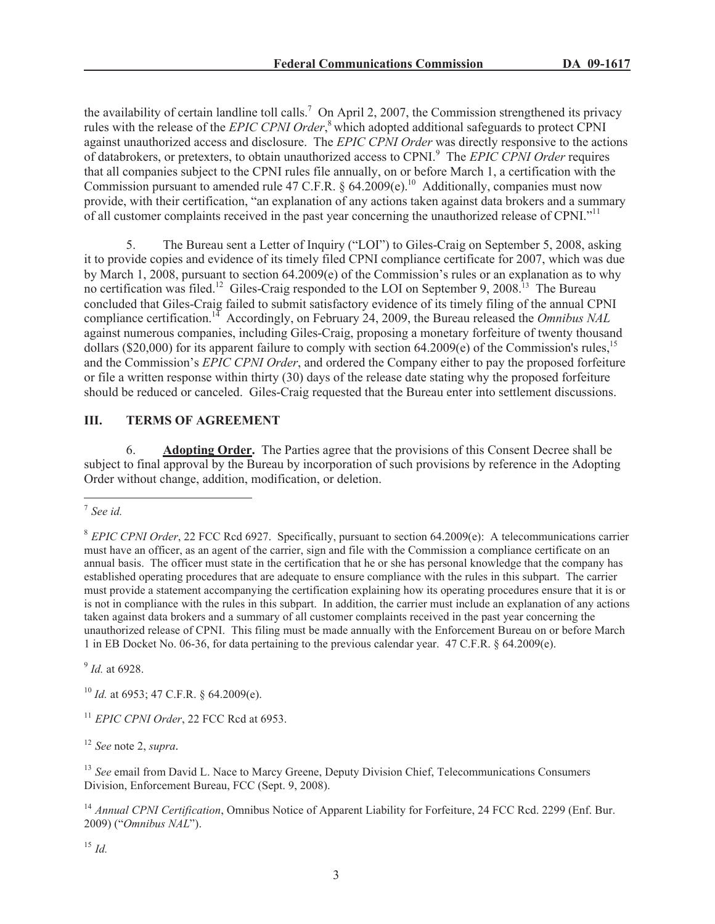the availability of certain landline toll calls.<sup>7</sup> On April 2, 2007, the Commission strengthened its privacy rules with the release of the *EPIC CPNI Order*, <sup>8</sup> which adopted additional safeguards to protect CPNI against unauthorized access and disclosure. The *EPIC CPNI Order* was directly responsive to the actions of databrokers, or pretexters, to obtain unauthorized access to CPNI.<sup>9</sup> The *EPIC CPNI Order* requires that all companies subject to the CPNI rules file annually, on or before March 1, a certification with the Commission pursuant to amended rule 47 C.F.R. § 64.2009(e).<sup>10</sup> Additionally, companies must now provide, with their certification, "an explanation of any actions taken against data brokers and a summary of all customer complaints received in the past year concerning the unauthorized release of CPNI."<sup>11</sup>

5. The Bureau sent a Letter of Inquiry ("LOI") to Giles-Craig on September 5, 2008, asking it to provide copies and evidence of its timely filed CPNI compliance certificate for 2007, which was due by March 1, 2008, pursuant to section 64.2009(e) of the Commission's rules or an explanation as to why no certification was filed.<sup>12</sup> Giles-Craig responded to the LOI on September 9, 2008.<sup>13</sup> The Bureau concluded that Giles-Craig failed to submit satisfactory evidence of its timely filing of the annual CPNI compliance certification.<sup>14</sup> Accordingly, on February 24, 2009, the Bureau released the *Omnibus NAL* against numerous companies, including Giles-Craig, proposing a monetary forfeiture of twenty thousand dollars (\$20,000) for its apparent failure to comply with section  $64.2009(e)$  of the Commission's rules,<sup>15</sup> and the Commission's *EPIC CPNI Order*, and ordered the Company either to pay the proposed forfeiture or file a written response within thirty (30) days of the release date stating why the proposed forfeiture should be reduced or canceled. Giles-Craig requested that the Bureau enter into settlement discussions.

# **III. TERMS OF AGREEMENT**

6. **Adopting Order.** The Parties agree that the provisions of this Consent Decree shall be subject to final approval by the Bureau by incorporation of such provisions by reference in the Adopting Order without change, addition, modification, or deletion.

9 *Id.* at 6928.

<sup>10</sup> *Id.* at 6953; 47 C.F.R. § 64.2009(e).

<sup>11</sup> *EPIC CPNI Order*, 22 FCC Rcd at 6953.

<sup>12</sup> *See* note 2, *supra.*

<sup>13</sup> *See* email from David L. Nace to Marcy Greene, Deputy Division Chief, Telecommunications Consumers Division, Enforcement Bureau, FCC (Sept. 9, 2008).

<sup>14</sup> *Annual CPNI Certification*, Omnibus Notice of Apparent Liability for Forfeiture, 24 FCC Rcd. 2299 (Enf. Bur. 2009) ("*Omnibus NAL*").

<sup>15</sup> *Id.*

<sup>7</sup> *See id.*

<sup>8</sup> *EPIC CPNI Order*, 22 FCC Rcd 6927. Specifically, pursuant to section 64.2009(e): A telecommunications carrier must have an officer, as an agent of the carrier, sign and file with the Commission a compliance certificate on an annual basis. The officer must state in the certification that he or she has personal knowledge that the company has established operating procedures that are adequate to ensure compliance with the rules in this subpart. The carrier must provide a statement accompanying the certification explaining how its operating procedures ensure that it is or is not in compliance with the rules in this subpart. In addition, the carrier must include an explanation of any actions taken against data brokers and a summary of all customer complaints received in the past year concerning the unauthorized release of CPNI. This filing must be made annually with the Enforcement Bureau on or before March 1 in EB Docket No. 06-36, for data pertaining to the previous calendar year. 47 C.F.R. § 64.2009(e).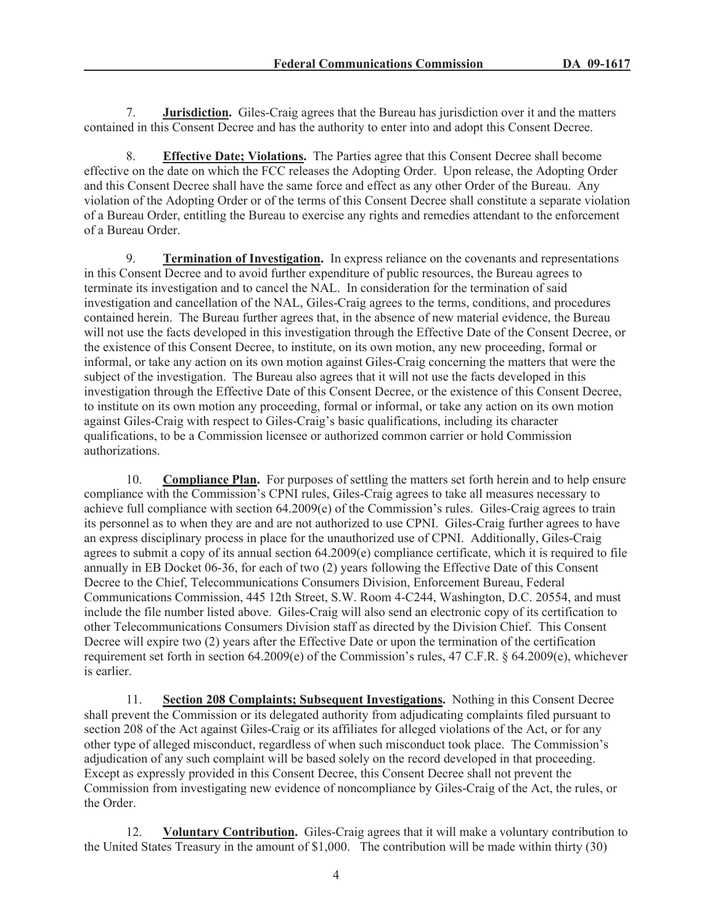7. **Jurisdiction.** Giles-Craig agrees that the Bureau has jurisdiction over it and the matters contained in this Consent Decree and has the authority to enter into and adopt this Consent Decree.

8. **Effective Date; Violations.** The Parties agree that this Consent Decree shall become effective on the date on which the FCC releases the Adopting Order. Upon release, the Adopting Order and this Consent Decree shall have the same force and effect as any other Order of the Bureau. Any violation of the Adopting Order or of the terms of this Consent Decree shall constitute a separate violation of a Bureau Order, entitling the Bureau to exercise any rights and remedies attendant to the enforcement of a Bureau Order.

9. **Termination of Investigation.** In express reliance on the covenants and representations in this Consent Decree and to avoid further expenditure of public resources, the Bureau agrees to terminate its investigation and to cancel the NAL. In consideration for the termination of said investigation and cancellation of the NAL, Giles-Craig agrees to the terms, conditions, and procedures contained herein. The Bureau further agrees that, in the absence of new material evidence, the Bureau will not use the facts developed in this investigation through the Effective Date of the Consent Decree, or the existence of this Consent Decree, to institute, on its own motion, any new proceeding, formal or informal, or take any action on its own motion against Giles-Craig concerning the matters that were the subject of the investigation. The Bureau also agrees that it will not use the facts developed in this investigation through the Effective Date of this Consent Decree, or the existence of this Consent Decree, to institute on its own motion any proceeding, formal or informal, or take any action on its own motion against Giles-Craig with respect to Giles-Craig's basic qualifications, including its character qualifications, to be a Commission licensee or authorized common carrier or hold Commission authorizations.

10. **Compliance Plan.** For purposes of settling the matters set forth herein and to help ensure compliance with the Commission's CPNI rules, Giles-Craig agrees to take all measures necessary to achieve full compliance with section 64.2009(e) of the Commission's rules. Giles-Craig agrees to train its personnel as to when they are and are not authorized to use CPNI. Giles-Craig further agrees to have an express disciplinary process in place for the unauthorized use of CPNI. Additionally, Giles-Craig agrees to submit a copy of its annual section 64.2009(e) compliance certificate, which it is required to file annually in EB Docket 06-36, for each of two (2) years following the Effective Date of this Consent Decree to the Chief, Telecommunications Consumers Division, Enforcement Bureau, Federal Communications Commission, 445 12th Street, S.W. Room 4-C244, Washington, D.C. 20554, and must include the file number listed above. Giles-Craig will also send an electronic copy of its certification to other Telecommunications Consumers Division staff as directed by the Division Chief. This Consent Decree will expire two (2) years after the Effective Date or upon the termination of the certification requirement set forth in section 64.2009(e) of the Commission's rules, 47 C.F.R. § 64.2009(e), whichever is earlier.

11. **Section 208 Complaints; Subsequent Investigations.** Nothing in this Consent Decree shall prevent the Commission or its delegated authority from adjudicating complaints filed pursuant to section 208 of the Act against Giles-Craig or its affiliates for alleged violations of the Act, or for any other type of alleged misconduct, regardless of when such misconduct took place. The Commission's adjudication of any such complaint will be based solely on the record developed in that proceeding. Except as expressly provided in this Consent Decree, this Consent Decree shall not prevent the Commission from investigating new evidence of noncompliance by Giles-Craig of the Act, the rules, or the Order.

12. **Voluntary Contribution.** Giles-Craig agrees that it will make a voluntary contribution to the United States Treasury in the amount of \$1,000. The contribution will be made within thirty (30)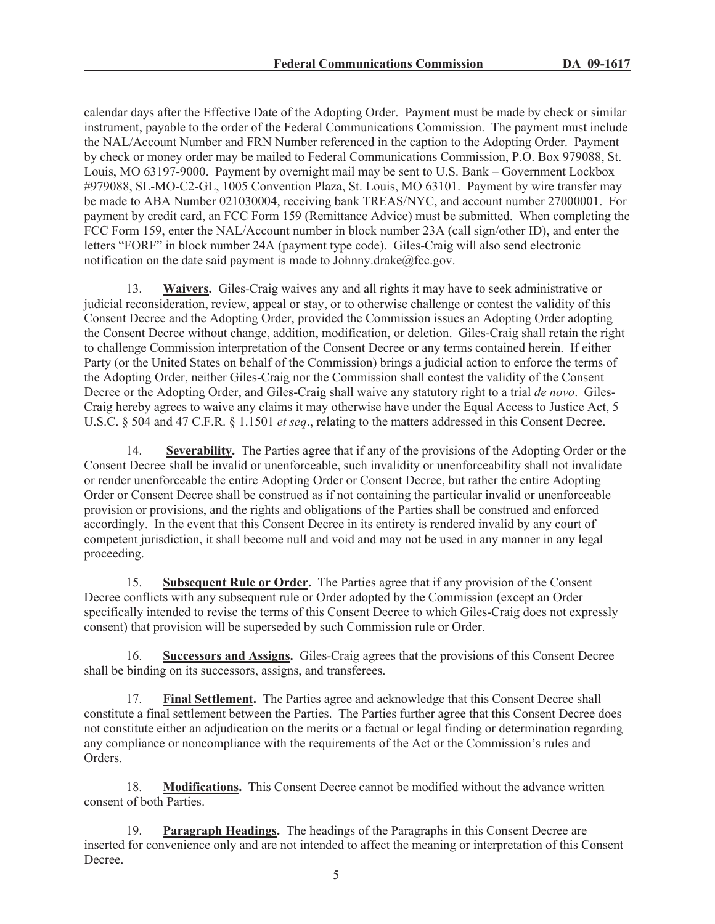calendar days after the Effective Date of the Adopting Order. Payment must be made by check or similar instrument, payable to the order of the Federal Communications Commission. The payment must include the NAL/Account Number and FRN Number referenced in the caption to the Adopting Order. Payment by check or money order may be mailed to Federal Communications Commission, P.O. Box 979088, St. Louis, MO 63197-9000. Payment by overnight mail may be sent to U.S. Bank – Government Lockbox #979088, SL-MO-C2-GL, 1005 Convention Plaza, St. Louis, MO 63101. Payment by wire transfer may be made to ABA Number 021030004, receiving bank TREAS/NYC, and account number 27000001. For payment by credit card, an FCC Form 159 (Remittance Advice) must be submitted. When completing the FCC Form 159, enter the NAL/Account number in block number 23A (call sign/other ID), and enter the letters "FORF" in block number 24A (payment type code). Giles-Craig will also send electronic notification on the date said payment is made to Johnny.drake $@$ fcc.gov.

13. **Waivers.** Giles-Craig waives any and all rights it may have to seek administrative or judicial reconsideration, review, appeal or stay, or to otherwise challenge or contest the validity of this Consent Decree and the Adopting Order, provided the Commission issues an Adopting Order adopting the Consent Decree without change, addition, modification, or deletion. Giles-Craig shall retain the right to challenge Commission interpretation of the Consent Decree or any terms contained herein. If either Party (or the United States on behalf of the Commission) brings a judicial action to enforce the terms of the Adopting Order, neither Giles-Craig nor the Commission shall contest the validity of the Consent Decree or the Adopting Order, and Giles-Craig shall waive any statutory right to a trial *de novo*. Giles-Craig hereby agrees to waive any claims it may otherwise have under the Equal Access to Justice Act, 5 U.S.C. § 504 and 47 C.F.R. § 1.1501 *et seq*., relating to the matters addressed in this Consent Decree.

14. **Severability.** The Parties agree that if any of the provisions of the Adopting Order or the Consent Decree shall be invalid or unenforceable, such invalidity or unenforceability shall not invalidate or render unenforceable the entire Adopting Order or Consent Decree, but rather the entire Adopting Order or Consent Decree shall be construed as if not containing the particular invalid or unenforceable provision or provisions, and the rights and obligations of the Parties shall be construed and enforced accordingly. In the event that this Consent Decree in its entirety is rendered invalid by any court of competent jurisdiction, it shall become null and void and may not be used in any manner in any legal proceeding.

15. **Subsequent Rule or Order.** The Parties agree that if any provision of the Consent Decree conflicts with any subsequent rule or Order adopted by the Commission (except an Order specifically intended to revise the terms of this Consent Decree to which Giles-Craig does not expressly consent) that provision will be superseded by such Commission rule or Order.

16. **Successors and Assigns.** Giles-Craig agrees that the provisions of this Consent Decree shall be binding on its successors, assigns, and transferees.

17. **Final Settlement.** The Parties agree and acknowledge that this Consent Decree shall constitute a final settlement between the Parties. The Parties further agree that this Consent Decree does not constitute either an adjudication on the merits or a factual or legal finding or determination regarding any compliance or noncompliance with the requirements of the Act or the Commission's rules and Orders.

18. **Modifications.** This Consent Decree cannot be modified without the advance written consent of both Parties.

19. **Paragraph Headings.** The headings of the Paragraphs in this Consent Decree are inserted for convenience only and are not intended to affect the meaning or interpretation of this Consent Decree.